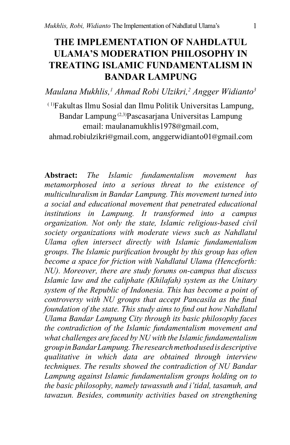# **THE IMPLEMENTATION OF NAHDLATUL ULAMA'S MODERATION PHILOSOPHY IN TREATING ISLAMIC FUNDAMENTALISM IN BANDAR LAMPUNG**

*Maulana Mukhlis,1 Ahmad Robi Ulzikri,2 Angger Widianto3*

( 1)Fakultas Ilmu Sosial dan Ilmu Politik Universitas Lampung, Bandar Lampung (2,3)Pascasarjana Universitas Lampung email: [maulanamukhlis1978](mailto:maulanamukhlis1978@gmail.com)@gmail.com,

[ahmad.robiulzikri](mailto:ahmad.robiulzikri@gmail.com)@gmail.com, anggerwidianto01@gmail.com

**Abstract:** *The Islamic fundamentalism movement has metamorphosed into a serious threat to the existence of multiculturalism in Bandar Lampung. This movement turned into a social and educational movement that penetrated educational institutions in Lampung. It transformed into a campus organization. Not only the state, Islamic religious-based civil society organizations with moderate views such as Nahdlatul Ulama often intersect directly with Islamic fundamentalism groups. The Islamic purification brought by this group has often become a space for friction with Nahdlatul Ulama (Henceforth: NU). Moreover, there are study forums on-campus that discuss Islamic law and the caliphate (Khilafah) system as the Unitary system of the Republic of Indonesia. This has become a point of controversy with NU groups that accept Pancasila as the final foundation of the state. This study aims to find out how Nahdlatul Ulama Bandar Lampung City through its basic philosophy faces the contradiction of the Islamic fundamentalism movement and what challenges are faced by NU with the Islamic fundamentalism group in Bandar Lampung. The research method used is descriptive qualitative in which data are obtained through interview techniques. The results showed the contradiction of NU Bandar Lampung against Islamic fundamentalism groups holding on to the basic philosophy, namely tawassuth and i'tidal, tasamuh, and tawazun. Besides, community activities based on strengthening*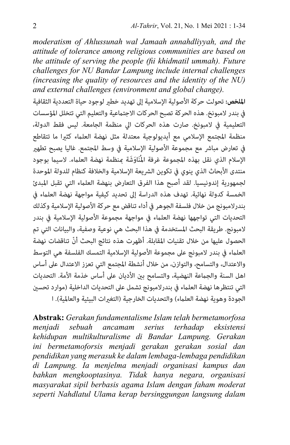*moderatism of Ahlussunah wal Jamaah annahdliyyah, and the attitude of tolerance among religious communities are based on the attitude of serving the people (fii khidmatil ummah). Future challenges for NU Bandar Lampung include internal challenges (increasing the quality of resources and the identity of the NU) and external challenges (environment and global change).*

**امللخص:** تحولت حركة األصولية اإلسالمية إىل تهديد خطري لوجود حياة التعددية الثقافية في بندر لامبونخ. هذه الحركة تصبح الحركات الاجتماعية والتعليم التي تتخلل المؤسسات التعليمية يف المبونخ. صارت هذه الحركات ايل منظمة الجامعة. ليس فقط الدولة، منظمة املجتمع اإلسالمي مع أيديولوجية معتدلة مثل نهضة العلامء كثريا ما تتقاطع في تعارض مباشر مع مجموعة الأصولية الإسلامية في وسط المجتمع. غاليا يصبح تطهير الإسلام الذي نقل بهذه المجموعة غرفة المُنَاوَشَة مِنظمة نهضة العلماء. لاسيما بوجود منتدى الأبحاث الذي ينوي في تكوين الشريعة الإسلامية والخلافة كنظام للدولة الموحدة لجمهورية إندونيسيا. لقد أصبح هذا الفرق التعارض بنهضة العلامء التي تقبل املبدئ الخمسة كدولة نهائية. تهدف هذه الدراسة إىل تحديد كيفية مواجهة نهضة العلامء يف بندرالمبونج من خالل فلسفة الجوهر يف أداء تناقض مع حركة األصولية اإلسالمية وكذلك التحديات التي تواجهها نهضة العلماء في مواجهة مجموعة الأصولية الإسلامية في بندر المبونج. طريقة البحث املستخدمة يف هذا البحث هي نوعية وصفية، والبيانات التي تم ّ الحصول عليها من خالل تقنيات املقابلة. أظهرت هذه نتائج البحث أن تناقضات نهضة العلماء في بندر لامبونج على مجموعة الأصولية الإسلامية التمسك الفلسفة هي التوسط واالعتدال، والتسامح، والتوازن، من خالل أنشطة املجتمع التي تعزز االعتدال عىل أساس اهل السنة والجماعة النهضية، والتسامح بين الأديان على أساس خذمة الأمة. التحديات التي تنتظرها نهضة العلماء في بندرلامبونج تشمل على التحديات الداخلية (موارد تحسين الجودة وهوية نهضة العلماء) والتحديات الخارجية (التغيرات البيئية والعالمية). ا

**Abstrak:** *Gerakan fundamentalisme Islam telah bermetamorfosa menjadi sebuah ancamam serius terhadap eksistensi kehidupan multikulturalisme di Bandar Lampung. Gerakan ini bermetamoforsis menjadi gerakan gerakan sosial dan pendidikan yang merasuk ke dalam lembaga-lembaga pendidikan di Lampung. Ia menjelma menjadi organisasi kampus dan bahkan mengkooptasinya. Tidak hanya negara, organisasi masyarakat sipil berbasis agama Islam dengan faham moderat seperti Nahdlatul Ulama kerap bersinggungan langsung dalam*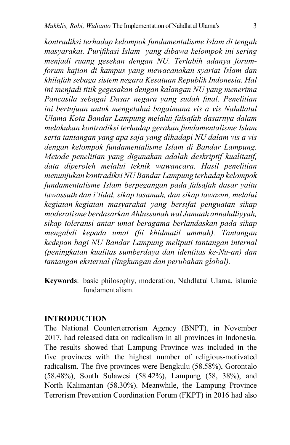*kontradiksi terhadap kelompok fundamentalisme Islam di tengah masyarakat. Purifikasi Islam yang dibawa kelompok ini sering menjadi ruang gesekan dengan NU. Terlabih adanya forumforum kajian di kampus yang mewacanakan syariat Islam dan khilafah sebaga sistem negara Kesatuan Republik Indonesia. Hal ini menjadi titik gegesakan dengan kalangan NU yang menerima Pancasila sebagai Dasar negara yang sudah final. Penelitian ini bertujuan untuk mengetahui bagaimana vis a vis Nahdlatul Ulama Kota Bandar Lampung melalui falsafah dasarnya dalam melakukan kontradiksi terhadap gerakan fundamentalisme Islam serta tantangan yang apa saja yang dihadapi NU dalam vis a vis dengan kelompok fundamentalisme Islam di Bandar Lampung. Metode penelitian yang digunakan adalah deskriptif kualitatif, data diperoleh melalui teknik wawancara. Hasil penelitian menunjukan kontradiksi NU Bandar Lampung terhadap kelompok fundamentalisme Islam berpegangan pada falsafah dasar yaitu tawassuth dan i'tidal, sikap tasamuh, dan sikap tawazun, melalui kegiatan-kegiatan masyarakat yang bersifat penguatan sikap moderatisme berdasarkan Ahlussunah wal Jamaah annahdliyyah, sikap toleransi antar umat beragama berlandaskan pada sikap mengabdi kepada umat (fii khidmatil ummah). Tantangan kedepan bagi NU Bandar Lampung meliputi tantangan internal (peningkatan kualitas sumberdaya dan identitas ke-Nu-an) dan tantangan eksternal (lingkungan dan perubahan global).*

**Keywords**: basic philosophy, moderation, Nahdlatul Ulama, islamic fundamentalism.

### **INTRODUCTION**

The National Counterterrorism Agency (BNPT), in November 2017, had released data on radicalism in all provinces in Indonesia. The results showed that Lampung Province was included in the five provinces with the highest number of religious-motivated radicalism. The five provinces were Bengkulu (58.58%), Gorontalo (58.48%), South Sulawesi (58.42%), Lampung (58, 38%), and North Kalimantan (58.30%). Meanwhile, the Lampung Province Terrorism Prevention Coordination Forum (FKPT) in 2016 had also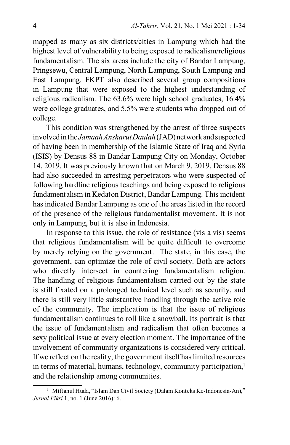mapped as many as six districts/cities in Lampung which had the highest level of vulnerability to being exposed to radicalism/religious fundamentalism. The six areas include the city of Bandar Lampung, Pringsewu, Central Lampung, North Lampung, South Lampung and East Lampung. FKPT also described several group compositions in Lampung that were exposed to the highest understanding of religious radicalism. The 63.6% were high school graduates, 16.4% were college graduates, and 5.5% were students who dropped out of college.

This condition was strengthened by the arrest of three suspects involved in the *Jamaah Ansharut Daulah* (JAD) network and suspected of having been in membership of the Islamic State of Iraq and Syria (ISIS) by Densus 88 in Bandar Lampung City on Monday, October 14, 2019. It was previously known that on March 9, 2019, Densus 88 had also succeeded in arresting perpetrators who were suspected of following hardline religious teachings and being exposed to religious fundamentalism in Kedaton District, Bandar Lampung. This incident has indicated Bandar Lampung as one of the areas listed in the record of the presence of the religious fundamentalist movement. It is not only in Lampung, but it is also in Indonesia.

In response to this issue, the role of resistance (vis a vis) seems that religious fundamentalism will be quite difficult to overcome by merely relying on the government. The state, in this case, the government, can optimize the role of civil society. Both are actors who directly intersect in countering fundamentalism religion. The handling of religious fundamentalism carried out by the state is still fixated on a prolonged technical level such as security, and there is still very little substantive handling through the active role of the community. The implication is that the issue of religious fundamentalism continues to roll like a snowball. Its portrait is that the issue of fundamentalism and radicalism that often becomes a sexy political issue at every election moment. The importance of the involvement of community organizations is considered very critical. If we reflect on the reality, the government itself has limited resources in terms of material, humans, technology, community participation,<sup>1</sup> and the relationship among communities.

<sup>&</sup>lt;sup>1</sup> Miftahul Huda, "Islam Dan Civil Society (Dalam Konteks Ke-Indonesia-An)," *Jurnal Fikri* 1, no. 1 (June 2016): 6.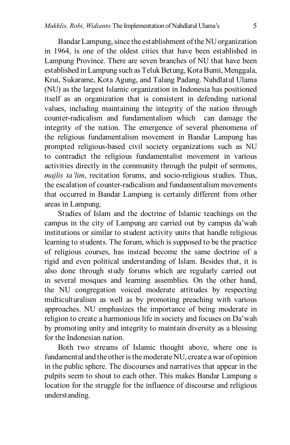Bandar Lampung, since the establishment of the NU organization in 1964, is one of the oldest cities that have been established in Lampung Province. There are seven branches of NU that have been established in Lampung such as Teluk Betung, Kota Bumi, Menggala, Krui, Sukarame, Kota Agung, and Talang Padang. Nahdlatul Ulama (NU) as the largest Islamic organization in Indonesia has positioned itself as an organization that is consistent in defending national values, including maintaining the integrity of the nation through counter-radicalism and fundamentalism which can damage the integrity of the nation. The emergence of several phenomena of the religious fundamentalism movement in Bandar Lampung has prompted religious-based civil society organizations such as NU to contradict the religious fundamentalist movement in various activities directly in the community through the pulpit of sermons, *majlis ta'lim*, recitation forums, and socio-religious studies. Thus, the escalation of counter-radicalism and fundamentalism movements that occurred in Bandar Lampung is certainly different from other areas in Lampung.

Studies of Islam and the doctrine of Islamic teachings on the campus in the city of Lampung are carried out by campus da'wah institutions or similar to student activity units that handle religious learning to students. The forum, which is supposed to be the practice of religious courses, has instead become the same doctrine of a rigid and even political understanding of Islam. Besides that, it is also done through study forums which are regularly carried out in several mosques and learning assemblies. On the other hand, the NU congregation voiced moderate attitudes by respecting multiculturalism as well as by promoting preaching with various approaches. NU emphasizes the importance of being moderate in religion to create a harmonious life in society and focuses on Da'wah by promoting unity and integrity to maintain diversity as a blessing for the Indonesian nation.

Both two streams of Islamic thought above, where one is fundamental and the other is the moderate NU, create a war of opinion in the public sphere. The discourses and narratives that appear in the pulpits seem to shout to each other. This makes Bandar Lampung a location for the struggle for the influence of discourse and religious understanding.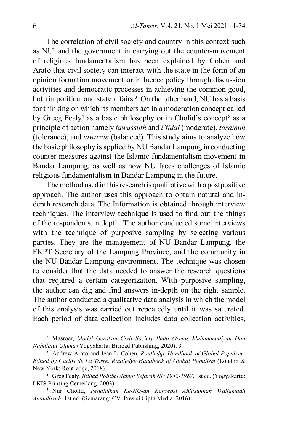The correlation of civil society and country in this context such as NU<sup>2</sup> and the government in carrying out the counter-movement of religious fundamentalism has been explained by Cohen and Arato that civil society can interact with the state in the form of an opinion formation movement or influence policy through discussion activities and democratic processes in achieving the common good, both in political and state affairs.<sup>3</sup> On the other hand, NU has a basis for thinking on which its members act in a moderation concept called by Greeg Fealy<sup>4</sup> as a basic philosophy or in Cholid's concept<sup>5</sup> as a principle of action namely *tawassuth* and *i'tidal* (moderate), *tasamuh* (tolerance), and *tawazun* (balanced). This study aims to analyze how the basic philosophy is applied by NU Bandar Lampung in conducting counter-measures against the Islamic fundamentalism movement in Bandar Lampung, as well as how NU faces challenges of Islamic religious fundamentalism in Bandar Lampung in the future.

The method used in this research is qualitative with a postpositive approach. The author uses this approach to obtain natural and indepth research data. The Information is obtained through interview techniques. The interview technique is used to find out the things of the respondents in depth. The author conducted some interviews with the technique of purposive sampling by selecting various parties. They are the management of NU Bandar Lampung, the FKPT Secretary of the Lampung Province, and the community in the NU Bandar Lampung environment. The technique was chosen to consider that the data needed to answer the research questions that required a certain categorization. With purposive sampling, the author can dig and find answers in-depth on the right sample. The author conducted a qualitative data analysis in which the model of this analysis was carried out repeatedly until it was saturated. Each period of data collection includes data collection activities,

<sup>2</sup> Masroer, *Model Gerakan Civil Society Pada Ormas Muhammadiyah Dan Nahdlatul Ulama* (Yogyakarta: Bitread Publishing, 2020), 3.

<sup>3</sup> Andrew Arato and Jean L. Cohen, *Routledge Handbook of Global Populism. Edited by Carlos de La Torre. Routledge Handbook of Global Populism* (London & New York: Routledge, 2018).

<sup>4</sup> Greg Fealy, *Ijtihad Politik Ulama: Sejarah NU 1952-1967*, 1st ed. (Yogyakarta: LKIS Printing Cemerlang, 2003).

<sup>5</sup> Nur Cholid, *Pendidikan Ke-NU-an Konsepsi Ahlusunnah Waljamaah Anahdliyah*, 1st ed. (Semarang: CV. Presisi Cipta Media, 2016).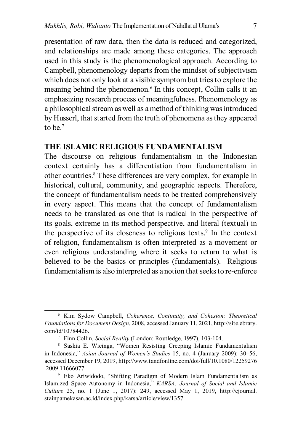presentation of raw data, then the data is reduced and categorized, and relationships are made among these categories. The approach used in this study is the phenomenological approach. According to Campbell, phenomenology departs from the mindset of subjectivism which does not only look at a visible symptom but tries to explore the meaning behind the phenomenon.<sup>6</sup> In this concept, Collin calls it an emphasizing research process of meaningfulness. Phenomenology as a philosophical stream as well as a method of thinking was introduced by Husserl, that started from the truth of phenomena as they appeared to be.<sup>7</sup>

### **THE ISLAMIC RELIGIOUS FUNDAMENTALISM**

The discourse on religious fundamentalism in the Indonesian context certainly has a differentiation from fundamentalism in other countries.8 These differences are very complex, for example in historical, cultural, community, and geographic aspects. Therefore, the concept of fundamentalism needs to be treated comprehensively in every aspect. This means that the concept of fundamentalism needs to be translated as one that is radical in the perspective of its goals, extreme in its method perspective, and literal (textual) in the perspective of its closeness to religious texts.<sup>9</sup> In the context of religion, fundamentalism is often interpreted as a movement or even religious understanding where it seeks to return to what is believed to be the basics or principles (fundamentals). Religious fundamentalism is also interpreted as a notion that seeks to re-enforce

<sup>6</sup> Kim Sydow Campbell, *Coherence, Continuity, and Cohesion: Theoretical Foundations for Document Design*, 2008, accessed January 11, 2021, http://site.ebrary. com/id/10784426.

<sup>7</sup> Finn Collin, *Social Reality* (London: Routledge, 1997), 103-104.

<sup>8</sup> Saskia E. Wieinga, "Women Resisting Creeping Islamic Fundamentalism in Indonesia," *Asian Journal of Women's Studies* 15, no. 4 (January 2009): 30–56, accessed December 19, 2019, http://www.tandfonline.com/doi/full/10.1080/12259276 .2009.11666077.

<sup>9</sup> Eko Ariwidodo, "Shifting Paradigm of Modern Islam Fundamentalism as Islamized Space Autonomy in Indonesia," *KARSA: Journal of Social and Islamic Culture* 25, no. 1 (June 1, 2017): 249, accessed May 1, 2019, http://ejournal. stainpamekasan.ac.id/index.php/karsa/article/view/1357.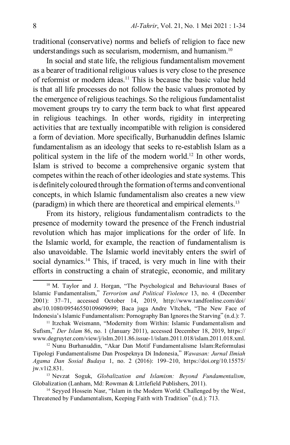traditional (conservative) norms and beliefs of religion to face new understandings such as secularism, modernism, and humanism.10

In social and state life, the religious fundamentalism movement as a bearer of traditional religious values is very close to the presence of reformist or modern ideas.11 This is because the basic value held is that all life processes do not follow the basic values promoted by the emergence of religious teachings. So the religious fundamentalist movement groups try to carry the term back to what first appeared in religious teachings. In other words, rigidity in interpreting activities that are textually incompatible with religion is considered a form of deviation. More specifically, Burhanuddin defines Islamic fundamentalism as an ideology that seeks to re-establish Islam as a political system in the life of the modern world.<sup>12</sup> In other words, Islam is strived to become a comprehensive organic system that competes within the reach of other ideologies and state systems. This is definitely coloured through the formation of terms and conventional concepts, in which Islamic fundamentalism also creates a new view (paradigm) in which there are theoretical and empirical elements.13

From its history, religious fundamentalism contradicts to the presence of modernity toward the presence of the French industrial revolution which has major implications for the order of life. In the Islamic world, for example, the reaction of fundamentalism is also unavoidable. The Islamic world inevitably enters the swirl of social dynamics.<sup>14</sup> This, if traced, is very much in line with their efforts in constructing a chain of strategic, economic, and military

<sup>10</sup> M. Taylor and J. Horgan, "The Psychological and Behavioural Bases of Islamic Fundamentalism," *Terrorism and Political Violence* 13, no. 4 (December 2001): 37–71, accessed October 14, 2019, http://www.tandfonline.com/doi/ abs/10.1080/09546550109609699; Baca juga Andre Vltchek, "The New Face of Indonesia's Islamic Fundamentalism: Pornography Ban Ignores the Starving" (n.d.): 7.

<sup>&</sup>lt;sup>11</sup> Itzchak Weismann, "Modernity from Within: Islamic Fundamentalism and Sufism," *Der Islam* 86, no. 1 (January 2011), accessed December 18, 2019, https:// www.degruyter.com/view/j/islm.2011.86.issue-1/islam.2011.018/islam.2011.018.xml.

<sup>12</sup> Nunu Burhanuddin, "Akar Dan Motif Fundamentalisme Islam:Reformulasi Tipologi Fundamentalisme Dan Prospeknya Di Indonesia," *Wawasan: Jurnal Ilmiah Agama Dan Sosial Budaya* 1, no. 2 (2016): 199–210, https://doi.org/10.15575/ jw.v1i2.831.

<sup>13</sup> Nevzat Soguk, *Globalization and Islamism: Beyond Fundamentalism*, Globalization (Lanham, Md: Rowman & Littlefield Publishers, 2011).

<sup>&</sup>lt;sup>14</sup> Seyyed Hossein Nasr, "Islam in the Modern World: Challenged by the West, Threatened by Fundamentalism, Keeping Faith with Tradition" (n.d.): 713.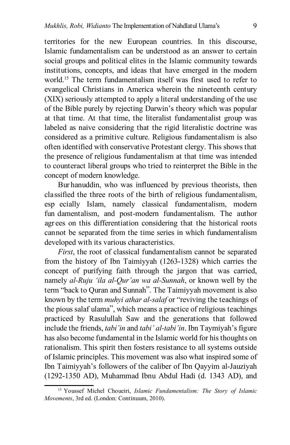territories for the new European countries. In this discourse, Islamic fundamentalism can be understood as an answer to certain social groups and political elites in the Islamic community towards institutions, concepts, and ideas that have emerged in the modern world.15 The term fundamentalism itself was first used to refer to evangelical Christians in America wherein the nineteenth century (XIX) seriously attempted to apply a literal understanding of the use of the Bible purely by rejecting Darwin's theory which was popular at that time. At that time, the literalist fundamentalist group was labeled as naive considering that the rigid literalistic doctrine was considered as a primitive culture. Religious fundamentalism is also often identified with conservative Protestant clergy. This shows that the presence of religious fundamentalism at that time was intended to counteract liberal groups who tried to reinterpret the Bible in the concept of modern knowledge.

Bur hanuddin, who was influenced by previous theorists, then classified the three roots of the birth of religious fundamentalism, esp ecially Islam, namely classical fundamentalism, modern fun damentalism, and post-modern fundamentalism. The author agr ees on this differentiation considering that the historical roots cannot be separated from the time series in which fundamentalism developed with its various characteristics.

*First*, the root of classical fundamentalism cannot be separated from the history of Ibn Taimiyyah (1263-1328) which carries the concept of purifying faith through the jargon that was carried, namely *al-Ruju 'ila al-Qur'an wa al-Sunnah*, or known well by the term "back to Quran and Sunnah". The Taimiyyah movement is also known by the term *muhyi athar al-salaf* or "reviving the teachings of the pious salaf ulama", which means a practice of religious teachings practiced by Rasulullah Saw and the generations that followed include the friends, *tabi'in* and *tabi' al-tabi'in*. Ibn Taymiyah's figure has also become fundamental in the Islamic world for his thoughts on rationalism. This spirit then fosters resistance to all systems outside of Islamic principles. This movement was also what inspired some of Ibn Taimiyyah's followers of the caliber of Ibn Qayyim al-Jauziyah (1292-1350 AD), Muhammad Ibnu Abdul Hadi (d. 1343 AD), and

<sup>15</sup> Youssef Michel Choueiri, *Islamic Fundamentalism: The Story of Islamic Movements*, 3rd ed. (London: Continuum, 2010).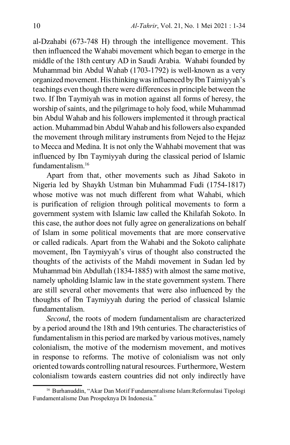al-Dzahabi (673-748 H) through the intelligence movement. This then influenced the Wahabi movement which began to emerge in the middle of the 18th century AD in Saudi Arabia. Wahabi founded by Muhammad bin Abdul Wahab (1703-1792) is well-known as a very organized movement. His thinking was influenced by Ibn Taimiyyah's teachings even though there were differences in principle between the two. If Ibn Taymiyah was in motion against all forms of heresy, the worship of saints, and the pilgrimage to holy food, while Muhammad bin Abdul Wahab and his followers implemented it through practical action. Muhammad bin Abdul Wahab and his followers also expanded the movement through military instruments from Nejed to the Hejaz to Mecca and Medina. It is not only the Wahhabi movement that was influenced by Ibn Taymiyyah during the classical period of Islamic fundamentalism<sup>16</sup>

Apart from that, other movements such as Jihad Sakoto in Nigeria led by Shaykh Ustman bin Muhammad Fudi (1754-1817) whose motive was not much different from what Wahabi, which is purification of religion through political movements to form a government system with Islamic law called the Khilafah Sokoto. In this case, the author does not fully agree on generalizations on behalf of Islam in some political movements that are more conservative or called radicals. Apart from the Wahabi and the Sokoto caliphate movement, Ibn Taymiyyah's virus of thought also constructed the thoughts of the activists of the Mahdi movement in Sudan led by Muhammad bin Abdullah (1834-1885) with almost the same motive, namely upholding Islamic law in the state government system. There are still several other movements that were also influenced by the thoughts of Ibn Taymiyyah during the period of classical Islamic fundamentalism.

*Second*, the roots of modern fundamentalism are characterized by a period around the 18th and 19th centuries. The characteristics of fundamentalism in this period are marked by various motives, namely colonialism, the motive of the modernism movement, and motives in response to reforms. The motive of colonialism was not only oriented towards controlling natural resources. Furthermore, Western colonialism towards eastern countries did not only indirectly have

<sup>&</sup>lt;sup>16</sup> Burhanuddin, "Akar Dan Motif Fundamentalisme Islam: Reformulasi Tipologi Fundamentalisme Dan Prospeknya Di Indonesia."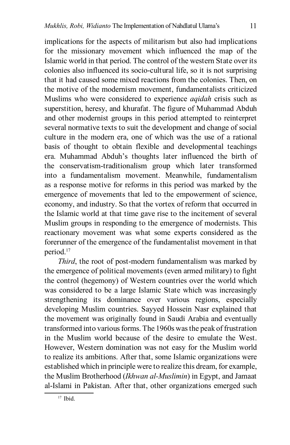implications for the aspects of militarism but also had implications for the missionary movement which influenced the map of the Islamic world in that period. The control of the western State over its colonies also influenced its socio-cultural life, so it is not surprising that it had caused some mixed reactions from the colonies. Then, on the motive of the modernism movement, fundamentalists criticized Muslims who were considered to experience *aqidah* crisis such as superstition, heresy, and khurafat. The figure of Muhammad Abduh and other modernist groups in this period attempted to reinterpret several normative texts to suit the development and change of social culture in the modern era, one of which was the use of a rational basis of thought to obtain flexible and developmental teachings era. Muhammad Abduh's thoughts later influenced the birth of the conservatism-traditionalism group which later transformed into a fundamentalism movement. Meanwhile, fundamentalism as a response motive for reforms in this period was marked by the emergence of movements that led to the empowerment of science, economy, and industry. So that the vortex of reform that occurred in the Islamic world at that time gave rise to the incitement of several Muslim groups in responding to the emergence of modernists. This reactionary movement was what some experts considered as the forerunner of the emergence of the fundamentalist movement in that period.17

*Third*, the root of post-modern fundamentalism was marked by the emergence of political movements (even armed military) to fight the control (hegemony) of Western countries over the world which was considered to be a large Islamic State which was increasingly strengthening its dominance over various regions, especially developing Muslim countries. Sayyed Hossein Nasr explained that the movement was originally found in Saudi Arabia and eventually transformed into various forms. The 1960s was the peak of frustration in the Muslim world because of the desire to emulate the West. However, Western domination was not easy for the Muslim world to realize its ambitions. After that, some Islamic organizations were established which in principle were to realize this dream, for example, the Muslim Brotherhood (*Ikhwan al-Muslimin*) in Egypt, and Jamaat al-Islami in Pakistan. After that, other organizations emerged such

<sup>17</sup> Ibid.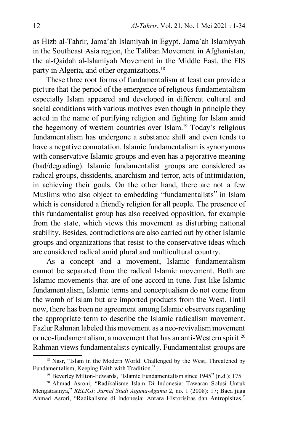as Hizb al-Tahrir, Jama'ah Islamiyah in Egypt, Jama'ah Islamiyyah in the Southeast Asia region, the Taliban Movement in Afghanistan, the al-Qaidah al-Islamiyah Movement in the Middle East, the FIS party in Algeria, and other organizations.<sup>18</sup>

These three root forms of fundamentalism at least can provide a picture that the period of the emergence of religious fundamentalism especially Islam appeared and developed in different cultural and social conditions with various motives even though in principle they acted in the name of purifying religion and fighting for Islam amid the hegemony of western countries over Islam.19 Today's religious fundamentalism has undergone a substance shift and even tends to have a negative connotation. Islamic fundamentalism is synonymous with conservative Islamic groups and even has a pejorative meaning (bad/degrading). Islamic fundamentalist groups are considered as radical groups, dissidents, anarchism and terror, acts of intimidation, in achieving their goals. On the other hand, there are not a few Muslims who also object to embedding "fundamentalists" in Islam which is considered a friendly religion for all people. The presence of this fundamentalist group has also received opposition, for example from the state, which views this movement as disturbing national stability. Besides, contradictions are also carried out by other Islamic groups and organizations that resist to the conservative ideas which are considered radical amid plural and multicultural country.

As a concept and a movement, Islamic fundamentalism cannot be separated from the radical Islamic movement. Both are Islamic movements that are of one accord in tune. Just like Islamic fundamentalism, Islamic terms and conceptualism do not come from the womb of Islam but are imported products from the West. Until now, there has been no agreement among Islamic observers regarding the appropriate term to describe the Islamic radicalism movement. Fazlur Rahman labeled this movement as a neo-revivalism movement or neo-fundamentalism, a movement that has an anti-Western spirit.<sup>20</sup> Rahman views fundamentalists cynically. Fundamentalist groups are

<sup>&</sup>lt;sup>18</sup> Nasr, "Islam in the Modern World: Challenged by the West, Threatened by Fundamentalism, Keeping Faith with Tradition."

<sup>19</sup> Beverley Milton-Edwards, "Islamic Fundamentalism since 1945" (n.d.): 175.

<sup>20</sup> Ahmad Asroni, "Radikalisme Islam Di Indonesia: Tawaran Solusi Untuk Mengatasinya," *RELIGI: Jurnal Studi Agama-Agama* 2, no. 1 (2008): 17; Baca juga Ahmad Asrori, "Radikalisme di Indonesia: Antara Historisitas dan Antropisitas,"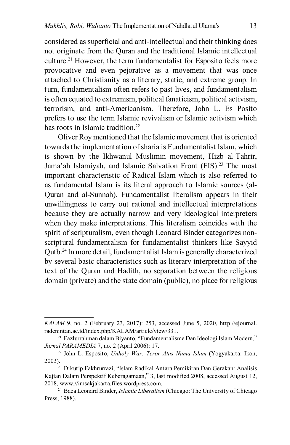considered as superficial and anti-intellectual and their thinking does not originate from the Quran and the traditional Islamic intellectual culture.21 However, the term fundamentalist for Esposito feels more provocative and even pejorative as a movement that was once attached to Christianity as a literary, static, and extreme group. In turn, fundamentalism often refers to past lives, and fundamentalism is often equated to extremism, political fanaticism, political activism, terrorism, and anti-Americanism. Therefore, John L. Es Posito prefers to use the term Islamic revivalism or Islamic activism which has roots in Islamic tradition.<sup>22</sup>

Oliver Roy mentioned that the Islamic movement that is oriented towards the implementation of sharia is Fundamentalist Islam, which is shown by the Ikhwanul Muslimin movement, Hizb al-Tahrir, Jama'ah Islamiyah, and Islamic Salvation Front (FIS).<sup>23</sup> The most important characteristic of Radical Islam which is also referred to as fundamental Islam is its literal approach to Islamic sources (al-Quran and al-Sunnah). Fundamentalist literalism appears in their unwillingness to carry out rational and intellectual interpretations because they are actually narrow and very ideological interpreters when they make interpretations. This literalism coincides with the spirit of scripturalism, even though Leonard Binder categorizes nonscriptural fundamentalism for fundamentalist thinkers like Sayyid Qutb.24 In more detail, fundamentalist Islam is generally characterized by several basic characteristics such as literary interpretation of the text of the Quran and Hadith, no separation between the religious domain (private) and the state domain (public), no place for religious

*KALAM* 9, no. 2 (February 23, 2017): 253, accessed June 5, 2020, http://ejournal. radenintan.ac.id/index.php/KALAM/article/view/331.

<sup>21</sup> Fazlurrahman dalam Biyanto, "Fundamentalisme Dan Ideologi Islam Modern," *Jurnal PARAMEDIA* 7, no. 2 (April 2006): 17.

<sup>22</sup> John L. Esposito, *Unholy War: Teror Atas Nama Islam* (Yogyakarta: Ikon, 2003).23 Dikutip Fakhrurrazi, "Islam Radikal Antara Pemikiran Dan Gerakan: Analisis

Kajian Dalam Perspektif Keberagamaan," 3, last modified 2008, accessed August 12, 2018, www.//imsakjakarta.files.wordpress.com.

<sup>24</sup> Baca Leonard Binder, *Islamic Liberalism* (Chicago: The University of Chicago Press, 1988).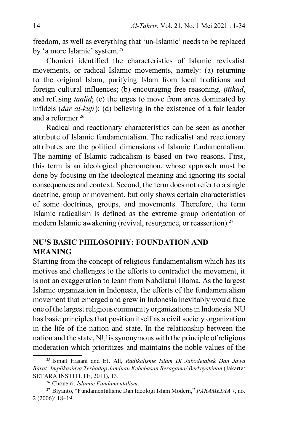freedom, as well as everything that 'un-Islamic' needs to be replaced by 'a more Islamic' system.25

Chouieri identified the characteristics of Islamic revivalist movements, or radical Islamic movements, namely: (a) returning to the original Islam, purifying Islam from local traditions and foreign cultural influences; (b) encouraging free reasoning, *ijtihad*, and refusing *taqlid*; (c) the urges to move from areas dominated by infidels (*dar al-kufr*); (d) believing in the existence of a fair leader and a reformer.26

Radical and reactionary characteristics can be seen as another attribute of Islamic fundamentalism. The radicalist and reactionary attributes are the political dimensions of Islamic fundamentalism. The naming of Islamic radicalism is based on two reasons. First, this term is an ideological phenomenon, whose approach must be done by focusing on the ideological meaning and ignoring its social consequences and context. Second, the term does not refer to a single doctrine, group or movement, but only shows certain characteristics of some doctrines, groups, and movements. Therefore, the term Islamic radicalism is defined as the extreme group orientation of modern Islamic awakening (revival, resurgence, or reassertion).<sup>27</sup>

## **NU'S BASIC PHILOSOPHY: Foundation and Meaning**

Starting from the concept of religious fundamentalism which has its motives and challenges to the efforts to contradict the movement, it is not an exaggeration to learn from Nahdlatul Ulama. As the largest Islamic organization in Indonesia, the efforts of the fundamentalism movement that emerged and grew in Indonesia inevitably would face one of the largest religious community organizations in Indonesia. NU has basic principles that position itself as a civil society organization in the life of the nation and state. In the relationship between the nation and the state, NU is synonymous with the principle of religious moderation which prioritizes and maintains the noble values of the

<sup>25</sup> Ismail Hasani and Et. All, *Radikalisme Islam Di Jabodetabek Dan Jawa Barat: Implikasinya Terhadap Jaminan Kebebasan Beragama/ Berkeyakinan* (Jakarta: SETARA INSTITUTE, 2011), 13.

<sup>26</sup> Choueiri, *Islamic Fundamentalism*.

<sup>27</sup> Biyanto, "Fundamentalisme Dan Ideologi Islam Modern," *PARAMEDIA* 7, no. 2 (2006): 18–19.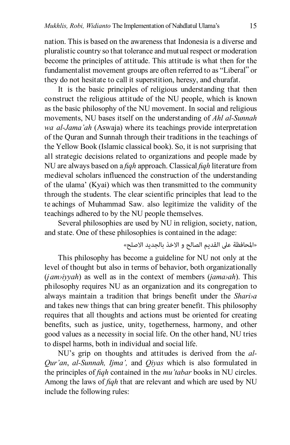nation. This is based on the awareness that Indonesia is a diverse and pluralistic country so that tolerance and mutual respect or moderation become the principles of attitude. This attitude is what then for the fundamentalist movement groups are often referred to as "Liberal" or they do not hesitate to call it superstition, heresy, and churafat.

It is the basic principles of religious understanding that then construct the religious attitude of the NU people, which is known as the basic philosophy of the NU movement. In social and religious movements, NU bases itself on the understanding of *Ahl al-Sunnah wa al-Jama'ah* (Aswaja) where its teachings provide interpretation of the Quran and Sunnah through their traditions in the teachings of the Yellow Book (Islamic classical book). So, it is not surprising that all strategic decisions related to organizations and people made by NU are always based on a *fiqh* approach. Classical *fiqh* literature from medieval scholars influenced the construction of the understanding of the ulama' (Kyai) which was then transmitted to the community through the students. The clear scientific principles that lead to the te achings of Muhammad Saw. also legitimize the validity of the teachings adhered to by the NU people themselves.

Several philosophies are used by NU in religion, society, nation, and state. One of these philosophies is contained in the adage:

»املحافظة عىل القديم الصالح و االخذ بالجديد االصلح«

This philosophy has become a guideline for NU not only at the level of thought but also in terms of behavior, both organizationally (*jam›iyyah*) as well as in the context of members (*jama›ah*). This philosophy requires NU as an organization and its congregation to always maintain a tradition that brings benefit under the *Shari›a* and takes new things that can bring greater benefit. This philosophy requires that all thoughts and actions must be oriented for creating benefits, such as justice, unity, togetherness, harmony, and other good values as a necessity in social life. On the other hand, NU tries to dispel harms, both in individual and social life.

NU's grip on thoughts and attitudes is derived from the *al-Qur'an*, *al-Sunnah, Ijma',* and *Qiyas* which is also formulated in the principles of *fiqh* contained in the *mu'tabar* books in NU circles. Among the laws of *fiqh* that are relevant and which are used by NU include the following rules: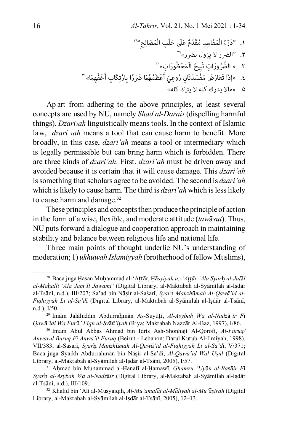َْمَصالِ ِح"28 ْ ِب ال عل َ َ جل َْم ِفَاسِد ُ مَقَّدٌم َ ُ ال ُ َور ِ ات«30 **.2** "الرضر ال يزول برضر«29 **.1** َ"دْرء َْم ْحظ ُ َور ِ ات تُ ُ بِيح ال ِ َك ِ اب أَ َخ ِفِّهَم«31 .3 » ال َّض َ ًر ِ ا ب ْارت َ ُمُهَم َ ض م َفْسَدتَ ِ ان ُ ر ِوعَي أَ ْعظ .4 َ »إذا تََع َار َض َ .5 »ماال يدرك كله ال يرتك كله«

Ap art from adhering to the above principles, at least several concepts are used by NU, namely *Shad al-Darai›* (dispelling harmful things). *Dzari›ah* linguistically means tools. In the context of Islamic law, *dzari ‹ah* means a tool that can cause harm to benefit. More broadly, in this case, *dzari'ah* means a tool or intermediary which is legally permissible but can bring harm which is forbidden. There are three kinds of *dzari'ah*. First, *dzari'ah* must be driven away and avoided because it is certain that it will cause damage. This *dzari'ah* is something that scholars agree to be avoided. The second is *dzari'ah* which is likely to cause harm. The third is *dzari'ah* which is less likely to cause harm and damage.<sup>32</sup>

These principles and concepts then produce the principle of action in the form of a wise, flexible, and moderate attitude (*taw*ā*sut*). Thus, NU puts forward a dialogue and cooperation approach in maintaining stability and balance between religious life and national life.

Three main points of thought underlie NU's understanding of moderation; 1) *ukhuwah Islamiyyah* (brotherhood of fellow Muslims),

<sup>28</sup> Baca juga Ḥasan Muḥammad al-'Aṭṭār, Ḥā*syiyah a;-'Aṭṭār 'Ala Syar*ḥ *al-Jal*ā*l al-Maḥallī 'Ala Jam'Il Jawami'* (Digital Library, al-Maktabah al-Syāmilah al-Iṣdār al-Tsānī, n.d.), III/207; Sa'ad bin Nāṣir al-Sas\arī, *Syar*ḥ *Manzhūmah Al-Qawā'id al-Fiqhiyyah Li al-Sa'd*ī (Digital Library, al-Maktabah al-Syāmilah al-Iṣdār al-Tsānī, n.d.), I/50.

<sup>29</sup> Imām Jalāluddīn Abdurraḥmān As-Suyūṭī, *Al-Asybah Wa al-Nadz*ā*'ir F*ī *Qaw*ā*'idi Wa Fur*ū*' Fiqh al-Sy*ā*fi'iyah* (Riya: Maktabah Nazzār Al-Baz, 1997), I/86.

<sup>30</sup> Imam Abul Abbas Ahmad bin Idris Ash-Shonhaji Al-Qorofi, *Al-Furuq/ Anwarul Buruq Fi Anwa'il Furuq* (Beirut - Lebanon: Darul Kutub Al-Ilmiyah, 1998), VII/383; al-Sas\arī, *Syar*ḥ *Manzh*ū*mah Al-Qaw*ā*'id al-Fiqhiyyah Li al-Sa'd*ī, V/371; Baca juga Syaikh Abdurrahman bin Nasir al-Sa'di, *Al-Qawa'id Wal Usul* (Digital Library, al-Maktabah al-Syāmilah al-Iṣdār al-Tsānī, 2005), I/57.

<sup>31</sup> Aḥmad bin Muḥammad al-Ḥanafī al-Ḥamawī, *Ghamzu 'Uy*ū*n al-Ba*ṣā*ir F*ī *Syar*ḥ *al-Asybah Wa al-Nadz*ā*ir* (Digital Library, al-Maktabah al-Syāmilah al-Iṣdār al-Tsānī, n.d.), III/109.

<sup>&</sup>lt;sup>32</sup> Khalid bin 'Ali al-Musyaigih, *Al-Mu'amalāt al-Māliyah al-Mu'āsirah* (Digital Library, al-Maktabah al-Syāmilah al-Iṣdār al-Tsānī, 2005), 12–13.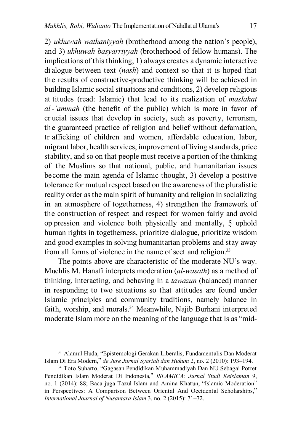2) *ukhuwah wathaniyyah* (brotherhood among the nation's people), and 3) *ukhuwah basyarriyyah* (brotherhood of fellow humans). The implications of this thinking; 1) always creates a dynamic interactive dialogue between text (*nash*) and context so that it is hoped that the results of constructive-productive thinking will be achieved in building Islamic social situations and conditions, 2) develop religious at titudes (read: Islamic) that lead to its realization of *maslahat al -'ammah* (the benefit of the public) which is more in favor of cr ucial issues that develop in society, such as poverty, terrorism, the guaranteed practice of religion and belief without defamation, tr afficking of children and women, affordable education, labor, migrant labor, health services, improvement of living standards, price stability, and so on that people must receive a portion of the thinking of the Muslims so that national, public, and humanitarian issues become the main agenda of Islamic thought, 3) develop a positive tolerance for mutual respect based on the awareness of the pluralistic reality order as the main spirit of humanity and religion in socializing in an atmosphere of togetherness, 4) strengthen the framework of the construction of respect and respect for women fairly and avoid op pression and violence both physically and mentally, 5 uphold } human rights in togetherness, prioritize dialogue, prioritize wisdom and good examples in solving humanitarian problems and stay away from all forms of violence in the name of sect and religion.<sup>33</sup>

The points above are characteristic of the moderate NU's way. Muchlis M. Hanafi interprets moderation (*al-wasath*) as a method of thinking, interacting, and behaving in a *tawazun* (balanced) manner in responding to two situations so that attitudes are found under Islamic principles and community traditions, namely balance in faith, worship, and morals.34 Meanwhile, Najib Burhani interpreted moderate Islam more on the meaning of the language that is as "mid-

<sup>33</sup> Alamul Huda, "Epistemologi Gerakan Liberalis, Fundamentalis Dan Moderat Islam Di Era Modern," *de Jure Jurnal Syariah dan Hukum* 2, no. 2 (2010): 193–194.

<sup>34</sup> Toto Suharto, "Gagasan Pendidikan Muhammadiyah Dan NU Sebagai Potret Pendidikan Islam Moderat Di Indonesia," *ISLAMICA: Jurnal Studi Keislaman* 9, no. 1 (2014): 88; Baca juga Tazul Islam and Amina Khatun, "Islamic Moderation" in Perspectives: A Comparison Between Oriental And Occidental Scholarships," *International Journal of Nusantara Islam* 3, no. 2 (2015): 71–72.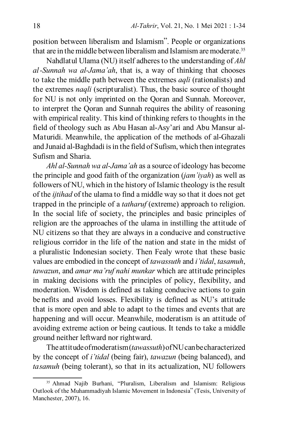position between liberalism and Islamism". People or organizations that are in the middle between liberalism and Islamism are moderate.<sup>35</sup>

Nahdlatul Ulama (NU) itself adheres to the understanding of *Ahl al-Sunnah wa al-Jama'ah*, that is, a way of thinking that chooses to take the middle path between the extremes *aqli* (rationalists) and the extremes *naqli* (scripturalist). Thus, the basic source of thought for NU is not only imprinted on the Qoran and Sunnah. Moreover, to interpret the Qoran and Sunnah requires the ability of reasoning with empirical reality. This kind of thinking refers to thoughts in the field of theology such as Abu Hasan al-Asy'ari and Abu Mansur al-Maturidi. Meanwhile, the application of the methods of al-Ghazali and Junaid al-Baghdadi is in the field of Sufism, which then integrates Sufism and Sharia.

*Ahl al-Sunnah wa al-Jama'ah* as a source of ideology has become the principle and good faith of the organization (*jam'iyah*) as well as followers of NU, which in the history of Islamic theology is the result of the *ijtihad* of the ulama to find a middle way so that it does not get trapped in the principle of a *tatharuf* (extreme) approach to religion. In the social life of society, the principles and basic principles of religion are the approaches of the ulama in instilling the attitude of NU citizens so that they are always in a conducive and constructive religious corridor in the life of the nation and state in the midst of a pluralistic Indonesian society. Then Fealy wrote that these basic values are embodied in the concept of *tawassuth* and *i'tidal*, *tasamuh*, *tawazun*, and *amar ma'ruf nahi munkar* which are attitude principles in making decisions with the principles of policy, flexibility, and moderation. Wisdom is defined as taking conducive actions to gain be nefits and avoid losses. Flexibility is defined as NU's attitude that is more open and able to adapt to the times and events that are happening and will occur. Meanwhile, moderatism is an attitude of avoiding extreme action or being cautious. It tends to take a middle ground neither leftward nor rightward.

The attitude of moderatism (*tawassuth*) of NU can be characterized by the concept of *i'tidal* (being fair), *tawazun* (being balanced), and *tasamuh* (being tolerant), so that in its actualization, NU followers

<sup>35</sup> Ahmad Najib Burhani, "Pluralism, Liberalism and Islamism: Religious Outlook of the Muhammadiyah Islamic Movement in Indonesia" (Tesis, University of Manchester, 2007), 16.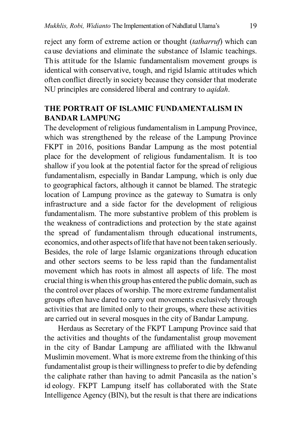reject any form of extreme action or thought (*tatharruf*) which can cause deviations and eliminate the substance of Islamic teachings. This attitude for the Islamic fundamentalism movement groups is identical with conservative, tough, and rigid Islamic attitudes which often conflict directly in society because they consider that moderate NU principles are considered liberal and contrary to *aqidah*.

## **THE PORTRAIT OF ISLAMIC FUNDAMENTALISM IN BANDAR LAMPUNG**

The development of religious fundamentalism in Lampung Province, which was strengthened by the release of the Lampung Province FKPT in 2016, positions Bandar Lampung as the most potential place for the development of religious fundamentalism. It is too shallow if you look at the potential factor for the spread of religious fundamentalism, especially in Bandar Lampung, which is only due to geographical factors, although it cannot be blamed. The strategic location of Lampung province as the gateway to Sumatra is only infrastructure and a side factor for the development of religious fundamentalism. The more substantive problem of this problem is the weakness of contradictions and protection by the state against the spread of fundamentalism through educational instruments, economics, and other aspects of life that have not been taken seriously. Besides, the role of large Islamic organizations through education and other sectors seems to be less rapid than the fundamentalist movement which has roots in almost all aspects of life. The most crucial thing is when this group has entered the public domain, such as the control over places of worship. The more extreme fundamentalist groups often have dared to carry out movements exclusively through activities that are limited only to their groups, where these activities are carried out in several mosques in the city of Bandar Lampung.

Herdaus as Secretary of the FKPT Lampung Province said that the activities and thoughts of the fundamentalist group movement in the city of Bandar Lampung are affiliated with the Ikhwanul Muslimin movement. What is more extreme from the thinking of this fundamentalist group is their willingness to prefer to die by defending the caliphate rather than having to admit Pancasila as the nation's id eology. FKPT Lampung itself has collaborated with the State Intelligence Agency (BIN), but the result is that there are indications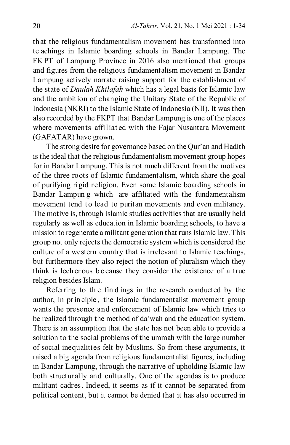that the religious fundamentalism movement has transformed into te achings in Islamic boarding schools in Bandar Lampung. The FK PT of Lampung Province in 2016 also mentioned that groups and figures from the religious fundamentalism movement in Bandar Lampung actively narrate raising support for the establishment of the state of *Daulah Khilafah* which has a legal basis for Islamic law and the ambition of changing the Unitary State of the Republic of Indonesia (NKRI) to the Islamic State of Indonesia (NII). It was then also recorded by the FKPT that Bandar Lampung is one of the places where movements affiliated with the Fajar Nusantara Movement (GAFATAR) have grown.

The strong desire for governance based on the Qur'an and Hadith is the ideal that the religious fundamentalism movement group hopes for in Bandar Lampung. This is not much different from the motives of the three roots of Islamic fundamentalism, which share the goal of purifying rigid religion. Even some Islamic boarding schools in Bandar Lampun g which are affiliated with the fundamentalism movement tend to lead to puritan movements and even militancy. The motive is, through Islamic studies activities that are usually held regularly as well as education in Islamic boarding schools, to have a mission to regenerate a militant generation that runs Islamic law. This group not only rejects the democratic system which is considered the culture of a western country that is irrelevant to Islamic teachings, but furthermore they also reject the notion of pluralism which they think is lech er ous b e cause they consider the existence of a true religion besides Islam.

Referring to th e fin d ings in the research conducted by the author, in pr in ciple , the Islamic fundamentalist movement group wants the presence and enforcement of Islamic law which tries to be realized through the method of da'wah and the education system. There is an assumption that the state has not been able to provide a solution to the social problems of the ummah with the large number of social inequalities felt by Muslims. So from these arguments, it raised a big agenda from religious fundamentalist figures, including in Bandar Lampung, through the narrative of upholding Islamic law both structurally and culturally. One of the agendas is to produce militant cadres. Indeed, it seems as if it cannot be separated from political content, but it cannot be denied that it has also occurred in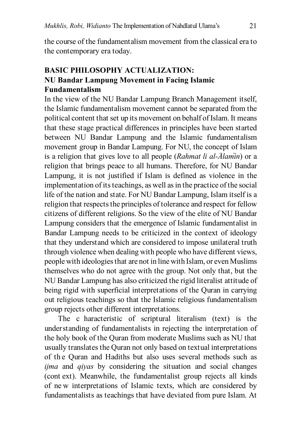the course of the fundamentalism movement from the classical era to the contemporary era today.

# **BASIC PHILOSOPHY ACTUALIZATION: NU Bandar Lampung Movement in Facing Islamic Fundamentalism**

In the view of the NU Bandar Lampung Branch Management itself, the Islamic fundamentalism movement cannot be separated from the political content that set up its movement on behalf of Islam. It means that these stage practical differences in principles have been started between NU Bandar Lampung and the Islamic fundamentalism movement group in Bandar Lampung. For NU, the concept of Islam is a religion that gives love to all people *(Rahmat li al-Alamin)* or a religion that brings peace to all humans. Therefore, for NU Bandar Lampung, it is not justified if Islam is defined as violence in the implementation of its teachings, as well as in the practice of the social life of the nation and state. For NU Bandar Lampung, Islam itself is a religion that respects the principles of tolerance and respect for fellow citizens of different religions. So the view of the elite of NU Bandar Lampung considers that the emergence of Islamic fundamentalist in Bandar Lampung needs to be criticized in the context of ideology that they understand which are considered to impose unilateral truth through violence when dealing with people who have different views, people with ideologies that are not in line with Islam, or even Muslims themselves who do not agree with the group. Not only that, but the NU Bandar Lampung has also criticized the rigid literalist attitude of being rigid with superficial interpretations of the Quran in carrying out religious teachings so that the Islamic religious fundamentalism group rejects other different interpretations.

The c haracteristic of scriptural literalism (text) is the understanding of fundamentalists in rejecting the interpretation of the holy book of the Quran from moderate Muslims such as NU that usually translates the Quran not only based on textual interpretations of th e Quran and Hadiths but also uses several methods such as *ijma* and *qiyas* by considering the situation and social changes (cont ext). Meanwhile, the fundamentalist group rejects all kinds of ne w interpretations of Islamic texts, which are considered by fundamentalists as teachings that have deviated from pure Islam. At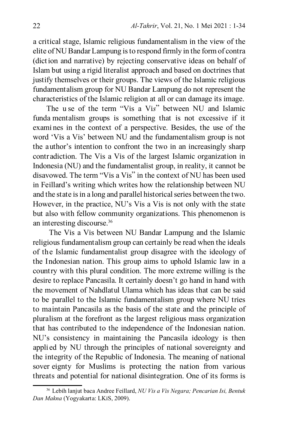a critical stage, Islamic religious fundamentalism in the view of the elite of NU Bandar Lampung is to respond firmly in the form of contra (diction and narrative) by rejecting conservative ideas on behalf of Islam but using a rigid literalist approach and based on doctrines that justify themselves or their groups. The views of the Islamic religious fundamentalism group for NU Bandar Lampung do not represent the characteristics of the Islamic religion at all or can damage its image.

The u se of the term "Vis a Vi*s*" between NU and Islamic funda mentalism groups is something that is not excessive if it exami nes in the context of a perspective. Besides, the use of the word 'Vis a Vis' between NU and the fundamentalism group is not the author's intention to confront the two in an increasingly sharp contradiction. The Vis a Vis of the largest Islamic organization in Indonesia (NU) and the fundamentalist group, in reality, it cannot be disavowed. The term "Vis a Vis" in the context of NU has been used in Feillard's writing which writes how the relationship between NU and the state is in a long and parallel historical series between the two. However, in the practice, NU's Vis a Vis is not only with the state but also with fellow community organizations. This phenomenon is an interesting discourse.36

 The Vis a Vis between NU Bandar Lampung and the Islamic religious fundamentalism group can certainly be read when the ideals of the Islamic fundamentalist group disagree with the ideology of the Indonesian nation. This group aims to uphold Islamic law in a country with this plural condition. The more extreme willing is the desire to replace Pancasila. It certainly doesn't go hand in hand with the movement of Nahdlatul Ulama which has ideas that can be said to be parallel to the Islamic fundamentalism group where NU tries to maintain Pancasila as the basis of the state and the principle of pluralism at the forefront as the largest religious mass organization that has contributed to the independence of the Indonesian nation. NU's consistency in maintaining the Pancasila ideology is then appli ed by NU through the principles of national sovereignty and the integrity of the Republic of Indonesia. The meaning of national sover eignty for Muslims is protecting the nation from various threats and potential for national disintegration. One of its forms is

<sup>36</sup> Lebih lanjut baca Andree Feillard, *NU Vis a Vis Negara; Pencarian Isi, Bentuk Dan Makna* (Yogyakarta: LKiS, 2009).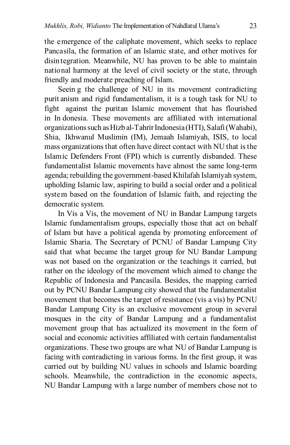the emergence of the caliphate movement, which seeks to replace Pancasila, the formation of an Islamic state, and other motives for disin tegration. Meanwhile, NU has proven to be able to maintain national harmony at the level of civil society or the state, through friendly and moderate preaching of Islam.

Seein g the challenge of NU in its movement contradicting puritanism and rigid fundamentalism, it is a tough task for NU to fight against the puritan Islamic movement that has flourished in In donesia. These movements are affiliated with international organizations such as Hizb al-Tahrir Indonesia (HTI), Salafi (Wahabi), Shia, Ikhwanul Muslimin (IM), Jemaah Islamiyah, ISIS, to local mass organizations that often have direct contact with NU that is the Islamic Defenders Front (FPI) which is currently disbanded. These fundamentalist Islamic movements have almost the same long-term agenda; rebuilding the government-based Khilafah Islamiyah system, upholding Islamic law, aspiring to build a social order and a political system based on the foundation of Islamic faith, and rejecting the democratic system.

In Vis a Vis, the movement of NU in Bandar Lampung targets Islamic fundamentalism groups, especially those that act on behalf of Islam but have a political agenda by promoting enforcement of Islamic Sharia. The Secretary of PCNU of Bandar Lampung City said that what became the target group for NU Bandar Lampung was not based on the organization or the teachings it carried, but rather on the ideology of the movement which aimed to change the Republic of Indonesia and Pancasila. Besides, the mapping carried out by PCNU Bandar Lampung city showed that the fundamentalist movement that becomes the target of resistance (vis a vis) by PCNU Bandar Lampung City is an exclusive movement group in several mosques in the city of Bandar Lampung and a fundamentalist movement group that has actualized its movement in the form of social and economic activities affiliated with certain fundamentalist organizations. These two groups are what NU of Bandar Lampung is facing with contradicting in various forms. In the first group, it was carried out by building NU values in schools and Islamic boarding schools. Meanwhile, the contradiction in the economic aspects, NU Bandar Lampung with a large number of members chose not to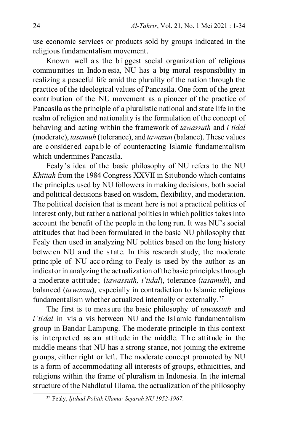use economic services or products sold by groups indicated in the religious fundamentalism movement.

Known well a s the b i ggest social organization of religious commu nities in Indo n esia, NU has a big moral responsibility in realizing a peaceful life amid the plurality of the nation through the practice of the ideological values of Pancasila. One form of the great contribution of the NU movement as a pioneer of the practice of Pancasila as the principle of a pluralistic national and state life in the realm of religion and nationality is the formulation of the concept of behaving and acting within the framework of *tawassuth* and *i'tidal* (moderate), *tasamuh* (tolerance), and *tawazun* (balance). These values are c onsider ed capa b le of counteracting Islamic fundamentalism which undermines Pancasila.

Fealy's idea of the basic philosophy of NU refers to the NU *Khittah* from the 1984 Congress XXVII in Situbondo which contains the principles used by NU followers in making decisions, both social and political decisions based on wisdom, flexibility, and moderation. The political decision that is meant here is not a practical politics of interest only, but rather a national politics in which politics takes into account the benefit of the people in the long run. It was NU's social attitudes that had been formulated in the basic NU philosophy that Fealy then used in analyzing NU politics based on the long history betwe en NU a nd the s tate. In this research study, the moderate princ iple of NU acc o rding to Fealy is used by the author as an indicator in analyzing the actualization of the basic principles through a moderate attitude; (*tawassuth, i'tidal*), tolerance (*tasamuh*), and balanced (*tawazun*), especially in contradiction to Islamic religious fundamentalism whether actualized internally or externally. <sup>37</sup>

The first is to measure the basic philosophy of *tawassuth* and *i'tidal* in vis a vis between NU and the Islamic fundamentalism group in Bandar Lampung. The moderate principle in this context is in terp ret ed as an attitude in the middle. The attitude in the middle means that NU has a strong stance, not joining the extreme groups, either right or left. The moderate concept promoted by NU is a form of accommodating all interests of groups, ethnicities, and religions within the frame of pluralism in Indonesia. In the internal structure of the Nahdlatul Ulama, the actualization of the philosophy

<sup>37</sup> Fealy, *Ijtihad Politik Ulama: Sejarah NU 1952-1967*.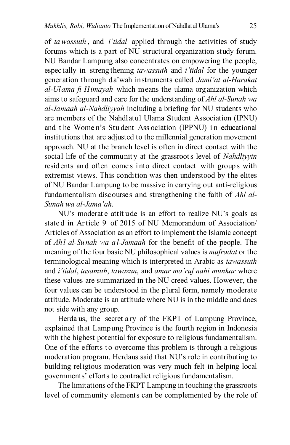of *ta wassuth* , and *i'tidal* applied through the activities of study forums which is a part of NU structural organization study forum. NU Bandar Lampung also concentrates on empowering the people, espec ially in streng thening *tawassuth* and *i'tidal* for the younger generation through da'wah instruments called *Jami'at al-Harakat al-Ulama fi Himayah* which means the ulama organization which aims to safeguard and care for the understanding of *Ahl al-Sunah wa al-Jamaah al-Nahdliyyah* including a briefing for NU students who are members of the Nahdlatul Ulama Student Association (IPNU) and t he Wome n's Stu dent Ass ociation (IPPNU) i n educational institutions that are adjusted to the millennial generation movement approach. NU at the branch level is often in direct contact with the social life of the community at the grassroots level of *Nahdliyyin* resid ents an d often come s i nto direct contact with group s with extremist views. This condition was then understood by the elites of NU Bandar Lampung to be massive in carrying out anti-religious fundamentalism discourses and strengthening the faith of *Ahl al-Sunah wa al-Jama'ah*.

NU's moderate attitude is an effort to realize NU's goals as state d in Ar ticle 9 of 2015 of NU Memorandum of Association/ Articles of Association as an effort to implement the Islamic concept of *Ahl al-Sunah wa al-Jamaah* for the benefit of the people. The meaning of the four basic NU philosophical values is *mufradat* or the terminological meaning which is interpreted in Arabic as *tawassuth* and *i'tidal*, *tasamuh*, *tawazun*, and *amar ma'ruf nahi munkar* where these values are summarized in the NU creed values. However, the four values can be understood in the plural form, namely moderate attitude. Moderate is an attitude where NU is in the middle and does not side with any group.

Herda us, the secret a ry of the FKPT of Lampung Province, explained that Lampung Province is the fourth region in Indonesia with the highest potential for exposure to religious fundamentalism. One of the efforts to overcome this problem is through a religious moderation program. Herdaus said that NU's role in contributing to building religious moderation was very much felt in helping local governments' efforts to contradict religious fundamentalism.

The limitations of the FKPT Lampung in touching the grassroots level of community elements can be complemented by the role of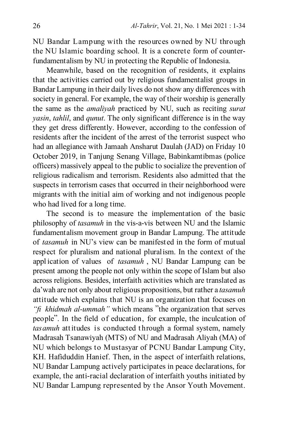NU Bandar Lampung with the resources owned by NU through the NU Islamic boarding school. It is a concrete form of counterfundamentalism by NU in protecting the Republic of Indonesia.

Meanwhile, based on the recognition of residents, it explains that the activities carried out by religious fundamentalist groups in Bandar Lampung in their daily lives do not show any differences with society in general. For example, the way of their worship is generally the same as the *amaliyah* practiced by NU, such as reciting *surat yasin*, *tahlil*, and *qunut*. The only significant difference is in the way they get dress differently. However, according to the confession of residents after the incident of the arrest of the terrorist suspect who had an allegiance with Jamaah Ansharut Daulah (JAD) on Friday 10 October 2019, in Tanjung Senang Village, Babinkamtibmas (police officers) massively appeal to the public to socialize the prevention of religious radicalism and terrorism. Residents also admitted that the suspects in terrorism cases that occurred in their neighborhood were migrants with the initial aim of working and not indigenous people who had lived for a long time.

The second is to measure the implementation of the basic philosophy of *tasamuh* in the vis-a-vis between NU and the Islamic fundamentalism movement group in Bandar Lampung. The attitude of *tasamuh* in NU's view can be manifested in the form of mutual respect for pluralism and national pluralism. In the context of the appl ication of values of *tasamuh* , NU Bandar Lampung can be present among the people not only within the scope of Islam but also across religions. Besides, interfaith activities which are translated as da'wah are not only about religious propositions, but rather a *tasamuh* attitude which explains that NU is an organization that focuses on *"fi khidmah al-ummah"* which means "the organization that serves people". In the field of education, for example, the inculcation of *tasamuh* attitudes is conducted through a formal system, namely Madrasah Tsanawiyah (MTS) of NU and Madrasah Aliyah (MA) of NU which belongs to Mustasyar of PCNU Bandar Lampung City, KH. Hafiduddin Hanief. Then, in the aspect of interfaith relations, NU Bandar Lampung actively participates in peace declarations, for example, the anti-racial declaration of interfaith youths initiated by NU Bandar Lampung represented by the Ansor Youth Movement.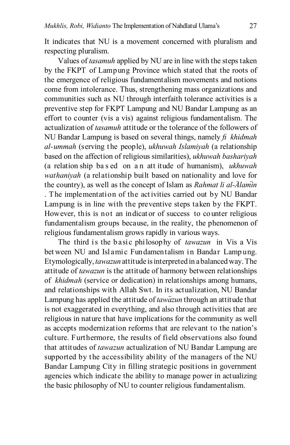It indicates that NU is a movement concerned with pluralism and respecting pluralism.

Values of *tasamuh* applied by NU are in line with the steps taken by the FKPT of Lampung Province which stated that the roots of the emergence of religious fundamentalism movements and notions come from intolerance. Thus, strengthening mass organizations and communities such as NU through interfaith tolerance activities is a preventive step for FKPT Lampung and NU Bandar Lampung as an effort to counter (vis a vis) against religious fundamentalism. The actualization of *tasamuh* attitude or the tolerance of the followers of NU Bandar Lampung is based on several things, namely *fi khidmah al-ummah* (serving the people), *ukhuwah Islamiyah* (a relationship based on the affection of religious similarities), *ukhuwah bashariyah* (a relation ship ba s ed on a n att itude of humanism), *ukhuwah wathaniyah* (a relationship built based on nationality and love for the country), as well as the concept of Islam as *Rahmat li al-Alamin* . The implementation of the activities carried out by NU Bandar Lampung is in line with the preventive steps taken by the FKPT. However, this is not an indicator of success to counter religious fundamentalism groups because, in the reality, the phenomenon of religious fundamentalism grows rapidly in various ways.

The third is the basic philosophy of *tawazun* in Vis a Vis between NU and Islamic Fundamentalism in Bandar Lampung. Etymologically, *tawazun* attitude is interpreted in a balanced way. The attitude of *tawazun*is the attitude of harmony between relationships of *khidmah* (service or dedication) in relationships among humans, and relationships with Allah Swt. In its actualization, NU Bandar Lampung has applied the attitude of *tawazun* through an attitude that is not exaggerated in everything, and also through activities that are religious in nature that have implications for the community as well as accepts modernization reforms that are relevant to the nation's culture. Furthermore, the results of field observations also found that attitudes of *tawazun* actualization of NU Bandar Lampung are supported by the accessibility ability of the managers of the NU Bandar Lampung City in filling strategic positions in government agencies which indicate the ability to manage power in actualizing the basic philosophy of NU to counter religious fundamentalism.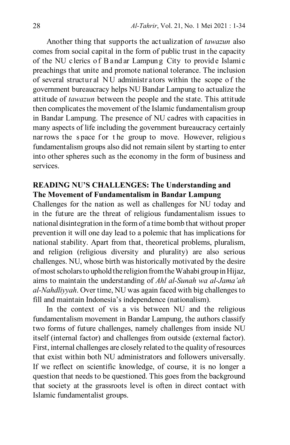Another thing that supports the actualization of *tawazun* also comes from social capital in the form of public trust in the capacity of the NU c lerics of B and ar Lampung City to provide Islamic preachings that unite and promote national tolerance. The inclusion of several structural NU administrators within the scope of the government bureaucracy helps NU Bandar Lampung to actualize the attitude of *tawazun* between the people and the state. This attitude then complicates the movement of the Islamic fundamentalism group in Bandar Lampung. The presence of NU cadres with capacities in many aspects of life including the government bureaucracy certainly nar rows the space for the group to move. However, religious fundamentalism groups also did not remain silent by starting to enter into other spheres such as the economy in the form of business and services.

## **READING NU'S CHALLENGES: The Understanding and The Movement of Fundamentalism in Bandar Lampung**

Challenges for the nation as well as challenges for NU today and in the future are the threat of religious fundamentalism issues to national disintegration in the form of a time bomb that without proper prevention it will one day lead to a polemic that has implications for national stability. Apart from that, theoretical problems, pluralism, and religion (religious diversity and plurality) are also serious challenges. NU, whose birth was historically motivated by the desire of most scholars to uphold the religion from the Wahabi group in Hijaz, aims to maintain the understanding of *Ahl al-Sunah wa al-Jama'ah al-Nahdliyyah*. Over time, NU was again faced with big challenges to fill and maintain Indonesia's independence (nationalism).

In the context of vis a vis between NU and the religious fundamentalism movement in Bandar Lampung, the authors classify two forms of future challenges, namely challenges from inside NU itself (internal factor) and challenges from outside (external factor). First, internal challenges are closely related to the quality of resources that exist within both NU administrators and followers universally. If we reflect on scientific knowledge, of course, it is no longer a question that needs to be questioned. This goes from the background that society at the grassroots level is often in direct contact with Islamic fundamentalist groups.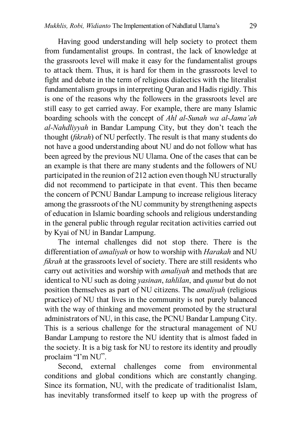Having good understanding will help society to protect them from fundamentalist groups. In contrast, the lack of knowledge at the grassroots level will make it easy for the fundamentalist groups to attack them. Thus, it is hard for them in the grassroots level to fight and debate in the term of religious dialectics with the literalist fundamentalism groups in interpreting Quran and Hadis rigidly. This is one of the reasons why the followers in the grassroots level are still easy to get carried away. For example, there are many Islamic boarding schools with the concept of *Ahl al-Sunah wa al-Jama'ah al-Nahdliyyah* in Bandar Lampung City, but they don't teach the thought (*fikrah*) of NU perfectly. The result is that many students do not have a good understanding about NU and do not follow what has been agreed by the previous NU Ulama. One of the cases that can be an example is that there are many students and the followers of NU participated in the reunion of 212 action even though NU structurally did not recommend to participate in that event. This then became the concern of PCNU Bandar Lampung to increase religious literacy among the grassroots of the NU community by strengthening aspects of education in Islamic boarding schools and religious understanding in the general public through regular recitation activities carried out by Kyai of NU in Bandar Lampung.

The internal challenges did not stop there. There is the differentiation of *amaliyah* or how to worship with *Harakah* and NU *fikrah* at the grassroots level of society. There are still residents who carry out activities and worship with *amaliyah* and methods that are identical to NU such as doing *yasinan*, *tahlilan*, and *qunut* but do not position themselves as part of NU citizens. The *amaliyah* (religious practice) of NU that lives in the community is not purely balanced with the way of thinking and movement promoted by the structural administrators of NU, in this case, the PCNU Bandar Lampung City. This is a serious challenge for the structural management of NU Bandar Lampung to restore the NU identity that is almost faded in the society. It is a big task for NU to restore its identity and proudly proclaim "I'm NU".

Second, external challenges come from environmental conditions and global conditions which are constantly changing. Since its formation, NU, with the predicate of traditionalist Islam, has inevitably transformed itself to keep up with the progress of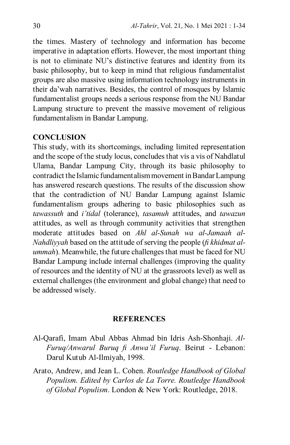the times. Mastery of technology and information has become imperative in adaptation efforts. However, the most important thing is not to eliminate NU's distinctive features and identity from its basic philosophy, but to keep in mind that religious fundamentalist groups are also massive using information technology instruments in their da'wah narratives. Besides, the control of mosques by Islamic fundamentalist groups needs a serious response from the NU Bandar Lampung structure to prevent the massive movement of religious fundamentalism in Bandar Lampung.

### **CONCLUSION**

This study, with its shortcomings, including limited representation and the scope of the study locus, concludes that vis a vis of Nahdlatul Ulama, Bandar Lampung City, through its basic philosophy to contradict the Islamic fundamentalism movement in Bandar Lampung has answered research questions. The results of the discussion show that the contradiction of NU Bandar Lampung against Islamic fundamentalism groups adhering to basic philosophies such as *tawassuth* and *i'tidal* (tolerance), *tasamuh* attitudes, and *tawazun* attitudes, as well as through community activities that strengthen moderate attitudes based on *Ahl al-Sunah wa al-Jamaah al-Nahdliyyah* based on the attitude of serving the people (*fi khidmat alummah*). Meanwhile, the future challenges that must be faced for NU Bandar Lampung include internal challenges (improving the quality of resources and the identity of NU at the grassroots level) as well as external challenges (the environment and global change) that need to be addressed wisely.

## **REFERENCES**

- Al-Qarafi, Imam Abul Abbas Ahmad bin Idris Ash-Shonhaji. *Al-Furuq/Anwarul Buruq fi Anwa'il Furuq*. Beirut - Lebanon: Darul Kutub Al-Ilmiyah, 1998.
- Arato, Andrew, and Jean L. Cohen. *Routledge Handbook of Global Populism. Edited by Carlos de La Torre. Routledge Handbook of Global Populism*. London & New York: Routledge, 2018.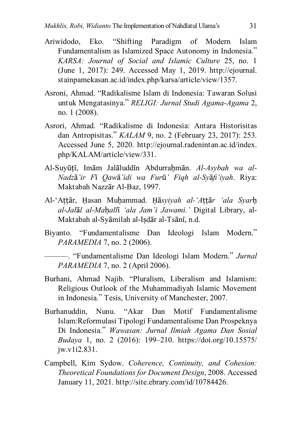- Ariwidodo, Eko. "Shifting Paradigm of Modern Islam Fundamentalism as Islamized Space Autonomy in Indonesia." *KARSA: Journal of Social and Islamic Culture* 25, no. 1 (June 1, 2017): 249. Accessed May 1, 2019. http://ejournal. stainpamekasan.ac.id/index.php/karsa/article/view/1357.
- Asroni, Ahmad. "Radikalisme Islam di Indonesia: Tawaran Solusi untuk Mengatasinya." *RELIGI: Jurnal Studi Agama-Agama* 2, no. 1 (2008).
- Asrori, Ahmad. "Radikalisme di Indonesia: Antara Historisitas dan Antropisitas." *KALAM* 9, no. 2 (February 23, 2017): 253. Accessed June 5, 2020. http://ejournal.radenintan.ac.id/index. php/KALAM/article/view/331.
- Al-Suyūtī, Imām Jalāluddīn Abdurrahmān. Al-Asybah wa al-*Nadz*ā*'ir F*ī *Qaw*ā*'idi wa Fur*ū*' Fiqh al-Sy*ā*fi'iyah*. Riya: Maktabah Nazzār Al-Baz, 1997.
- Al-'Aṭṭār, Ḥasan Muḥammad. Ḥā*syiyah al-'A*ṭṭā*r 'ala Syar*ḥ *al-Jal*ā*l al-Ma*ḥ*all*ī *'ala Jam'i Jawami.'* Digital Library, al-Maktabah al-Syāmilah al-Iṣdār al-Tsānī, n.d.
- Biyanto. "Fundamentalisme Dan Ideologi Islam Modern." *PARAMEDIA* 7, no. 2 (2006).
	- ———. "Fundamentalisme Dan Ideologi Islam Modern." *Jurnal PARAMEDIA* 7, no. 2 (April 2006).
- Burhani, Ahmad Najib. "Pluralism, Liberalism and Islamism: Religious Outlook of the Muhammadiyah Islamic Movement in Indonesia." Tesis, University of Manchester, 2007.
- Burhanuddin, Nunu. "Akar Dan Motif Fundamentalisme Islam:Reformulasi Tipologi Fundamentalisme Dan Prospeknya Di Indonesia." *Wawasan: Jurnal Ilmiah Agama Dan Sosial Budaya* 1, no. 2 (2016): 199–210. https://doi.org/10.15575/ jw.v1i2.831.
- Campbell, Kim Sydow. *Coherence, Continuity, and Cohesion: Theoretical Foundations for Document Design*, 2008. Accessed January 11, 2021. http://site.ebrary.com/id/10784426.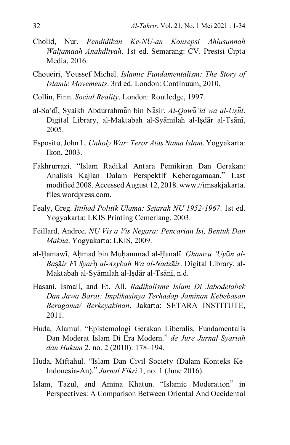- Cholid, Nur. *Pendidikan Ke-NU-an Konsepsi Ahlusunnah Waljamaah Anahdliyah*. 1st ed. Semarang: CV. Presisi Cipta Media, 2016.
- Choueiri, Youssef Michel. *Islamic Fundamentalism: The Story of Islamic Movements*. 3rd ed. London: Continuum, 2010.
- Collin, Finn. *Social Reality*. London: Routledge, 1997.
- al-Sa'di, Syaikh Abdurrahman bin Nasir. *Al-Qawa'id wa al-Usul*. Digital Library, al-Maktabah al-Syāmilah al-Iṣdār al-Tsānī, 2005.
- Esposito, John L. *Unholy War: Teror Atas Nama Islam*. Yogyakarta: Ikon, 2003.
- Fakhrurrazi. "Islam Radikal Antara Pemikiran Dan Gerakan: Analisis Kajian Dalam Perspektif Keberagamaan." Last modified 2008. Accessed August 12, 2018. www.//imsakjakarta. files.wordpress.com.
- Fealy, Greg. *Ijtihad Politik Ulama: Sejarah NU 1952-1967*. 1st ed. Yogyakarta: LKIS Printing Cemerlang, 2003.
- Feillard, Andree. *NU Vis a Vis Negara: Pencarian Isi, Bentuk Dan Makna*. Yogyakarta: LKiS, 2009.
- al-Hamawī, Ahmad bin Muhammad al-Hanafī. *Ghamzu 'Uyūn al-Ba*ṣā*ir F*ī *Syar*ḥ *al-Asybah Wa al-Nadz*ā*ir*. Digital Library, al-Maktabah al-Syāmilah al-Iṣdār al-Tsānī, n.d.
- Hasani, Ismail, and Et. All. *Radikalisme Islam Di Jabodetabek Dan Jawa Barat: Implikasinya Terhadap Jaminan Kebebasan Beragama/ Berkeyakinan*. Jakarta: SETARA INSTITUTE, 2011.
- Huda, Alamul. "Epistemologi Gerakan Liberalis, Fundamentalis Dan Moderat Islam Di Era Modern." *de Jure Jurnal Syariah dan Hukum* 2, no. 2 (2010): 178–194.
- Huda, Miftahul. "Islam Dan Civil Society (Dalam Konteks Ke-Indonesia-An)." *Jurnal Fikri* 1, no. 1 (June 2016).
- Islam, Tazul, and Amina Khatun. "Islamic Moderation" in Perspectives: A Comparison Between Oriental And Occidental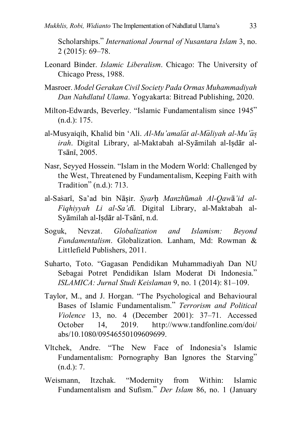Scholarships." *International Journal of Nusantara Islam* 3, no. 2 (2015): 69–78.

- Leonard Binder. *Islamic Liberalism*. Chicago: The University of Chicago Press, 1988.
- Masroer. *Model Gerakan Civil Society Pada Ormas Muhammadiyah Dan Nahdlatul Ulama*. Yogyakarta: Bitread Publishing, 2020.
- Milton-Edwards, Beverley. "Islamic Fundamentalism since 1945" (n.d.): 175.
- al-Musyaiqih, Khalid bin 'Ali. *Al-Mu'amalat al-Maliyah al-Mu'as irah*. Digital Library, al-Maktabah al-Syāmilah al-Iṣdār al-Tsānī, 2005.
- Nasr, Seyyed Hossein. "Islam in the Modern World: Challenged by the West, Threatened by Fundamentalism, Keeping Faith with Tradition" (n.d.): 713.
- al-Sas\arī, Sa'ad bin Nāṣir. *Syar*ḥ *Manzh*ū*mah Al-Qaw*ā*'id al-Fiqhiyyah Li al-Sa'd*ī. Digital Library, al-Maktabah al-Syāmilah al-Iṣdār al-Tsānī, n.d.
- Soguk, Nevzat. *Globalization and Islamism: Beyond Fundamentalism*. Globalization. Lanham, Md: Rowman & Littlefield Publishers, 2011.
- Suharto, Toto. "Gagasan Pendidikan Muhammadiyah Dan NU Sebagai Potret Pendidikan Islam Moderat Di Indonesia." *ISLAMICA: Jurnal Studi Keislaman* 9, no. 1 (2014): 81–109.
- Taylor, M., and J. Horgan. "The Psychological and Behavioural Bases of Islamic Fundamentalism." *Terrorism and Political Violence* 13, no. 4 (December 2001): 37–71. Accessed October 14, 2019. http://www.tandfonline.com/doi/ abs/10.1080/09546550109609699.
- Vltchek, Andre. "The New Face of Indonesia's Islamic Fundamentalism: Pornography Ban Ignores the Starving" (n.d.): 7.
- Weismann, Itzchak. "Modernity from Within: Islamic Fundamentalism and Sufism." *Der Islam* 86, no. 1 (January